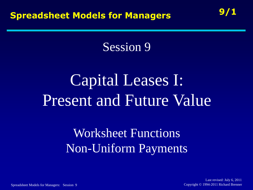#### Session 9

# Capital Leases I: Present and Future Value

# Worksheet Functions Non-Uniform Payments

Copyright © 1994-2011 Richard Brenner Last revised: July 6, 2011

**9/1**

Spreadsheet Models for Managers: Session 9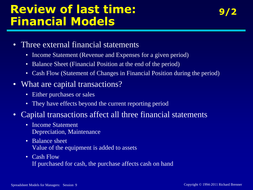#### **Review of last time: Financial Models**

- Three external financial statements
	- Income Statement (Revenue and Expenses for a given period)
	- Balance Sheet (Financial Position at the end of the period)
	- Cash Flow (Statement of Changes in Financial Position during the period)
- What are capital transactions?
	- Either purchases or sales
	- They have effects beyond the current reporting period
- Capital transactions affect all three financial statements
	- Income Statement Depreciation, Maintenance
	- Balance sheet Value of the equipment is added to assets
	- Cash Flow If purchased for cash, the purchase affects cash on hand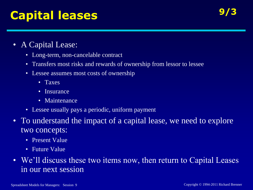# **Capital leases**

- A Capital Lease:
	- Long-term, non-cancelable contract
	- Transfers most risks and rewards of ownership from lessor to lessee
	- Lessee assumes most costs of ownership
		- Taxes
		- Insurance
		- Maintenance
	- Lessee usually pays a periodic, uniform payment
- To understand the impact of a capital lease, we need to explore two concepts:
	- Present Value
	- Future Value
- We'll discuss these two items now, then return to Capital Leases in our next session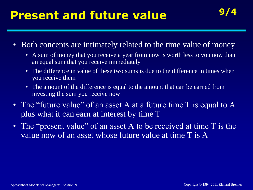# **Present and future value**

- Both concepts are intimately related to the time value of money
	- A sum of money that you receive a year from now is worth less to you now than an equal sum that you receive immediately
	- The difference in value of these two sums is due to the difference in times when you receive them
	- The amount of the difference is equal to the amount that can be earned from investing the sum you receive now
- The "future value" of an asset A at a future time T is equal to A plus what it can earn at interest by time T
- The "present value" of an asset A to be received at time T is the value now of an asset whose future value at time T is A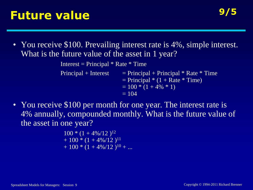• You receive \$100. Prevailing interest rate is 4%, simple interest. What is the future value of the asset in 1 year?

```
Interest = Principal * Rate * Time
Principal + Interest = Principal + Principal * Rate * Time
                       = Principal *(1 + Rate * Time)= 100 * (1 + 4\% * 1)= 104
```
• You receive \$100 per month for one year. The interest rate is 4% annually, compounded monthly. What is the future value of the asset in one year?

```
100 * (1 + 4\%/12)^{12}+ 100 * (1 + 4\%/12)^{11}+ 100 * (1 + 4\%/12)^{10} + ...
```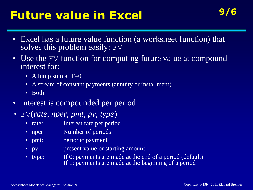# **Future value in Excel**

- Excel has a future value function (a worksheet function) that solves this problem easily: FV
- Use the FV function for computing future value at compound interest for:
	- A lump sum at  $T=0$
	- A stream of constant payments (annuity or installment)
	- Both
- Interest is compounded per period
- FV(*rate, nper, pmt, pv, type*)
	- rate: Interest rate per period
	- nper: Number of periods
	- pmt: periodic payment
	- pv: present value or starting amount
	- type: If 0: payments are made at the end of a period (default)
		- If 1: payments are made at the beginning of a period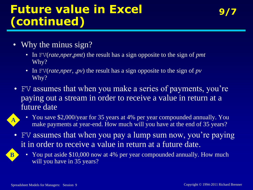# **Future value in Excel (continued)**

- Why the minus sign?
	- In FV(*rate,nper,pmt*) the result has a sign opposite to the sign of *pmt* Why?
	- In FV(*rate,nper, ,pv*) the result has a sign opposite to the sign of *pv* Why?
- FV assumes that when you make a series of payments, you're paying out a stream in order to receive a value in return at a future date
- **A**

**B**

- You save \$2,000/year for 35 years at 4% per year compounded annually. You make payments at year-end. How much will you have at the end of 35 years?
- FV assumes that when you pay a lump sum now, you're paying it in order to receive a value in return at a future date.
	- You put aside \$10,000 now at 4% per year compounded annually. How much will you have in 35 years?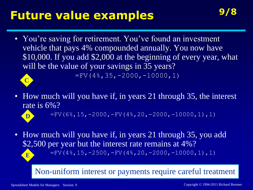#### **Future value examples**

• You're saving for retirement. You've found an investment vehicle that pays 4% compounded annually. You now have \$10,000. If you add \$2,000 at the beginning of every year, what will be the value of your savings in 35 years?

 $=$  FV(4%,35, -2000, -10000, 1)

• How much will you have if, in years 21 through 35, the interest rate is 6%?



**C**

 $=$  FV(6%, 15, -2000, - FV(4%, 20, -2000, -10000, 1), 1)

• How much will you have if, in years 21 through 35, you add \$2,500 per year but the interest rate remains at 4%?  $=$  FV(4%, 15,  $-2500$ ,  $-$  FV(4%, 20,  $-2000$ ,  $-10000$ , 1), 1) **E**

Non-uniform interest or payments require careful treatment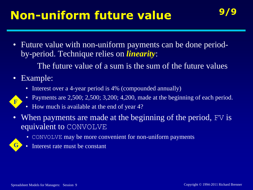# **Non-uniform future value**

- Future value with non-uniform payments can be done periodby-period. Technique relies on *linearity*:
	- The future value of a sum is the sum of the future values
- Example:

**F**

**G**

- Interest over a 4-year period is 4% (compounded annually)
- Payments are 2,500; 2,500; 3,200; 4,200, made at the beginning of each period.
- How much is available at the end of year 4?
- When payments are made at the beginning of the period,  $FV$  is equivalent to CONVOLVE
	- CONVOLVE may be more convenient for non-uniform payments
	- Interest rate must be constant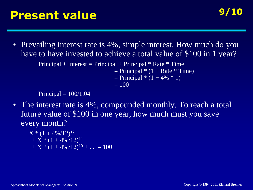• Prevailing interest rate is 4%, simple interest. How much do you have to have invested to achieve a total value of \$100 in 1 year?

> $Principal + Interest = Principal + Principal * Rate * Time$  $=$  Principal  $*(1 + Rate * Time)$  $=$  Principal \*  $(1 + 4\% * 1)$  $= 100$

Principal  $= 100/1.04$ 

• The interest rate is 4%, compounded monthly. To reach a total future value of \$100 in one year, how much must you save every month?

 $\overline{X} * (1 + 4\frac{9}{6}/12)^{12}$  $+ X * (1 + 4\%/12)^{11}$  $+ X * (1 + 4\%/12)^{10} + ... = 100$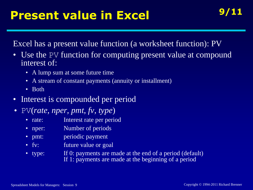Excel has a present value function (a worksheet function): PV

- Use the PV function for computing present value at compound interest of:
	- A lump sum at some future time
	- A stream of constant payments (annuity or installment)
	- Both
- Interest is compounded per period
- PV(*rate, nper, pmt, fv, type*)
	- rate: Interest rate per period
	- nper: Number of periods
	- pmt: periodic payment
	- fv: future value or goal
	- type: If 0: payments are made at the end of a period (default)
		- If 1: payments are made at the beginning of a period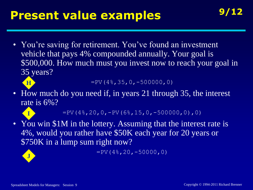# **Present value examples**

• You're saving for retirement. You've found an investment vehicle that pays 4% compounded annually. Your goal is \$500,000. How much must you invest now to reach your goal in 35 years?

 $=PV(4\%$ , 35, 0,  $-500000$ , 0)

• How much do you need if, in years 21 through 35, the interest rate is 6%?

**I**

**H**

```
=\overline{PV}(4\%, 20, 0, -PV(6\%, 15, 0, -500000, 0), 0)
```
• You win \$1M in the lottery. Assuming that the interest rate is 4%, would you rather have \$50K each year for 20 years or \$750K in a lump sum right now?



 $=PV(4\%$ , 20,  $-50000$ , 0)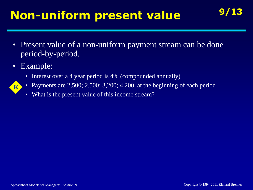# **Non-uniform present value**

- Present value of a non-uniform payment stream can be done period-by-period.
- Example:

**K**

- Interest over a 4 year period is 4% (compounded annually)
- Payments are 2,500; 2,500; 3,200; 4,200, at the beginning of each period
- What is the present value of this income stream?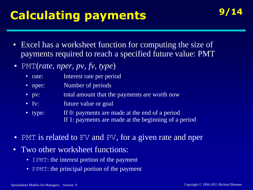# **Calculating payments**

- Excel has a worksheet function for computing the size of payments required to reach a specified future value: PMT
- PMT(*rate, nper, pv, fv, type*)
	- rate: Interest rate per period
	- nper: Number of periods
	- pv: total amount that the payments are worth now
	- fv: future value or goal
	- type: If 0: payments are made at the end of a period If 1: payments are made at the beginning of a period
- PMT is related to FV and PV, for a given rate and nper
- Two other worksheet functions:
	- IPMT: the interest portion of the payment
	- PPMT: the principal portion of the payment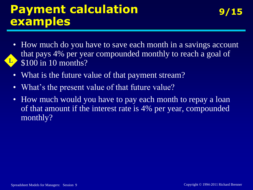#### **Payment calculation examples**

- How much do you have to save each month in a savings account that pays 4% per year compounded monthly to reach a goal of \$100 in 10 months? **L**
	- What is the future value of that payment stream?
	- What's the present value of that future value?
	- How much would you have to pay each month to repay a loan of that amount if the interest rate is 4% per year, compounded monthly?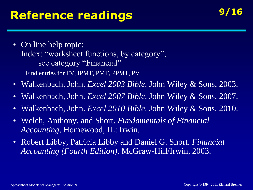# **Reference readings**

- On line help topic: Index: "worksheet functions, by category"; see category "Financial" Find entries for FV, IPMT, PMT, PPMT, PV
- Walkenbach, John. *Excel 2003 Bible*. John Wiley & Sons, 2003.
- Walkenbach, John. *Excel 2007 Bible*. John Wiley & Sons, 2007.
- Walkenbach, John. *Excel 2010 Bible*. John Wiley & Sons, 2010.
- Welch, Anthony, and Short. *Fundamentals of Financial Accounting*. Homewood, IL: Irwin.
- Robert Libby, Patricia Libby and Daniel G. Short. *Financial Accounting (Fourth Edition)*. McGraw-Hill/Irwin, 2003.